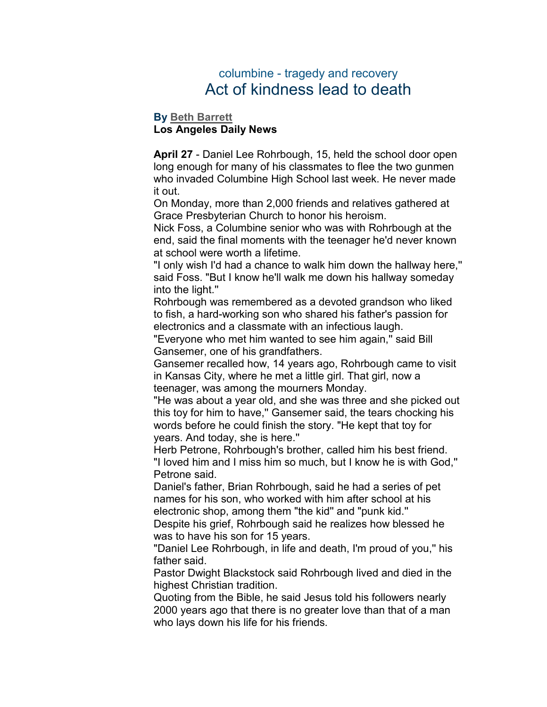## columbine - tragedy and recovery Act of kindness lead to death

## **By [Beth Barrett](mailto:newsroom@denverpost.com) Los Angeles Daily News**

**April 27** - Daniel Lee Rohrbough, 15, held the school door open long enough for many of his classmates to flee the two gunmen who invaded Columbine High School last week. He never made it out.

On Monday, more than 2,000 friends and relatives gathered at Grace Presbyterian Church to honor his heroism.

Nick Foss, a Columbine senior who was with Rohrbough at the end, said the final moments with the teenager he'd never known at school were worth a lifetime.

"I only wish I'd had a chance to walk him down the hallway here,'' said Foss. "But I know he'll walk me down his hallway someday into the light.''

Rohrbough was remembered as a devoted grandson who liked to fish, a hard-working son who shared his father's passion for electronics and a classmate with an infectious laugh.

"Everyone who met him wanted to see him again,'' said Bill Gansemer, one of his grandfathers.

Gansemer recalled how, 14 years ago, Rohrbough came to visit in Kansas City, where he met a little girl. That girl, now a teenager, was among the mourners Monday.

"He was about a year old, and she was three and she picked out this toy for him to have,'' Gansemer said, the tears chocking his words before he could finish the story. "He kept that toy for years. And today, she is here.''

Herb Petrone, Rohrbough's brother, called him his best friend. "I loved him and I miss him so much, but I know he is with God,'' Petrone said.

Daniel's father, Brian Rohrbough, said he had a series of pet names for his son, who worked with him after school at his electronic shop, among them "the kid'' and "punk kid.''

Despite his grief, Rohrbough said he realizes how blessed he was to have his son for 15 years.

"Daniel Lee Rohrbough, in life and death, I'm proud of you,'' his father said.

Pastor Dwight Blackstock said Rohrbough lived and died in the highest Christian tradition.

Quoting from the Bible, he said Jesus told his followers nearly 2000 years ago that there is no greater love than that of a man who lays down his life for his friends.